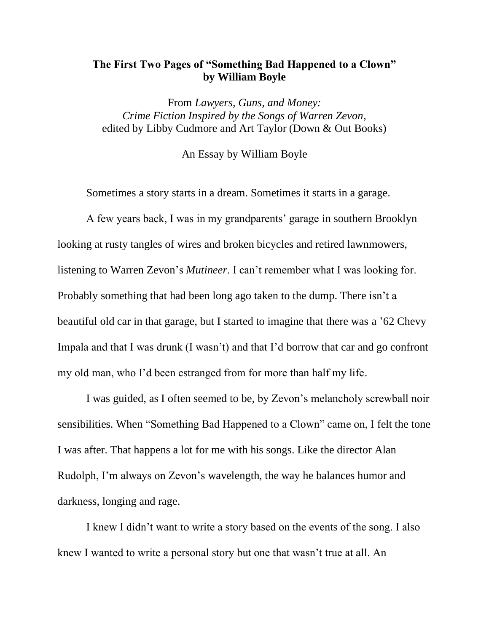## **The First Two Pages of "Something Bad Happened to a Clown" by William Boyle**

From *Lawyers, Guns, and Money: Crime Fiction Inspired by the Songs of Warren Zevon*, edited by Libby Cudmore and Art Taylor (Down & Out Books)

An Essay by William Boyle

Sometimes a story starts in a dream. Sometimes it starts in a garage.

A few years back, I was in my grandparents' garage in southern Brooklyn looking at rusty tangles of wires and broken bicycles and retired lawnmowers, listening to Warren Zevon's *Mutineer*. I can't remember what I was looking for. Probably something that had been long ago taken to the dump. There isn't a beautiful old car in that garage, but I started to imagine that there was a '62 Chevy Impala and that I was drunk (I wasn't) and that I'd borrow that car and go confront my old man, who I'd been estranged from for more than half my life.

I was guided, as I often seemed to be, by Zevon's melancholy screwball noir sensibilities. When "Something Bad Happened to a Clown" came on, I felt the tone I was after. That happens a lot for me with his songs. Like the director Alan Rudolph, I'm always on Zevon's wavelength, the way he balances humor and darkness, longing and rage.

I knew I didn't want to write a story based on the events of the song. I also knew I wanted to write a personal story but one that wasn't true at all. An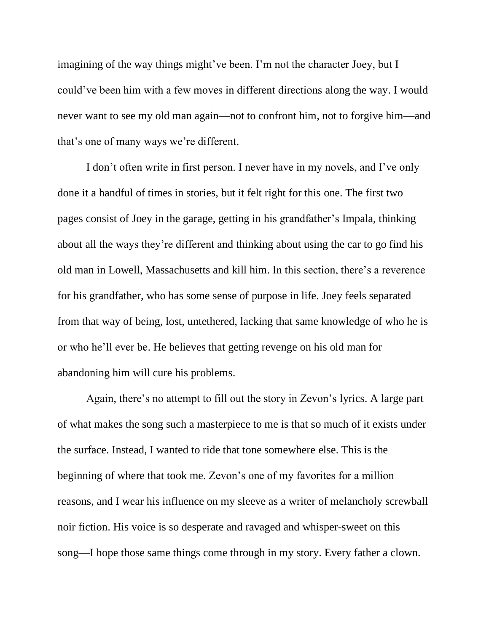imagining of the way things might've been. I'm not the character Joey, but I could've been him with a few moves in different directions along the way. I would never want to see my old man again—not to confront him, not to forgive him—and that's one of many ways we're different.

I don't often write in first person. I never have in my novels, and I've only done it a handful of times in stories, but it felt right for this one. The first two pages consist of Joey in the garage, getting in his grandfather's Impala, thinking about all the ways they're different and thinking about using the car to go find his old man in Lowell, Massachusetts and kill him. In this section, there's a reverence for his grandfather, who has some sense of purpose in life. Joey feels separated from that way of being, lost, untethered, lacking that same knowledge of who he is or who he'll ever be. He believes that getting revenge on his old man for abandoning him will cure his problems.

Again, there's no attempt to fill out the story in Zevon's lyrics. A large part of what makes the song such a masterpiece to me is that so much of it exists under the surface. Instead, I wanted to ride that tone somewhere else. This is the beginning of where that took me. Zevon's one of my favorites for a million reasons, and I wear his influence on my sleeve as a writer of melancholy screwball noir fiction. His voice is so desperate and ravaged and whisper-sweet on this song—I hope those same things come through in my story. Every father a clown.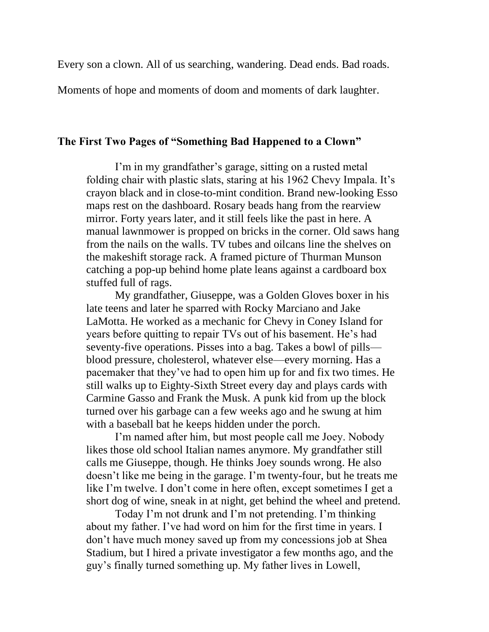Every son a clown. All of us searching, wandering. Dead ends. Bad roads.

Moments of hope and moments of doom and moments of dark laughter.

## **The First Two Pages of "Something Bad Happened to a Clown"**

I'm in my grandfather's garage, sitting on a rusted metal folding chair with plastic slats, staring at his 1962 Chevy Impala. It's crayon black and in close-to-mint condition. Brand new-looking Esso maps rest on the dashboard. Rosary beads hang from the rearview mirror. Forty years later, and it still feels like the past in here. A manual lawnmower is propped on bricks in the corner. Old saws hang from the nails on the walls. TV tubes and oilcans line the shelves on the makeshift storage rack. A framed picture of Thurman Munson catching a pop-up behind home plate leans against a cardboard box stuffed full of rags.

My grandfather, Giuseppe, was a Golden Gloves boxer in his late teens and later he sparred with Rocky Marciano and Jake LaMotta. He worked as a mechanic for Chevy in Coney Island for years before quitting to repair TVs out of his basement. He's had seventy-five operations. Pisses into a bag. Takes a bowl of pills blood pressure, cholesterol, whatever else—every morning. Has a pacemaker that they've had to open him up for and fix two times. He still walks up to Eighty-Sixth Street every day and plays cards with Carmine Gasso and Frank the Musk. A punk kid from up the block turned over his garbage can a few weeks ago and he swung at him with a baseball bat he keeps hidden under the porch.

I'm named after him, but most people call me Joey. Nobody likes those old school Italian names anymore. My grandfather still calls me Giuseppe, though. He thinks Joey sounds wrong. He also doesn't like me being in the garage. I'm twenty-four, but he treats me like I'm twelve. I don't come in here often, except sometimes I get a short dog of wine, sneak in at night, get behind the wheel and pretend.

Today I'm not drunk and I'm not pretending. I'm thinking about my father. I've had word on him for the first time in years. I don't have much money saved up from my concessions job at Shea Stadium, but I hired a private investigator a few months ago, and the guy's finally turned something up. My father lives in Lowell,